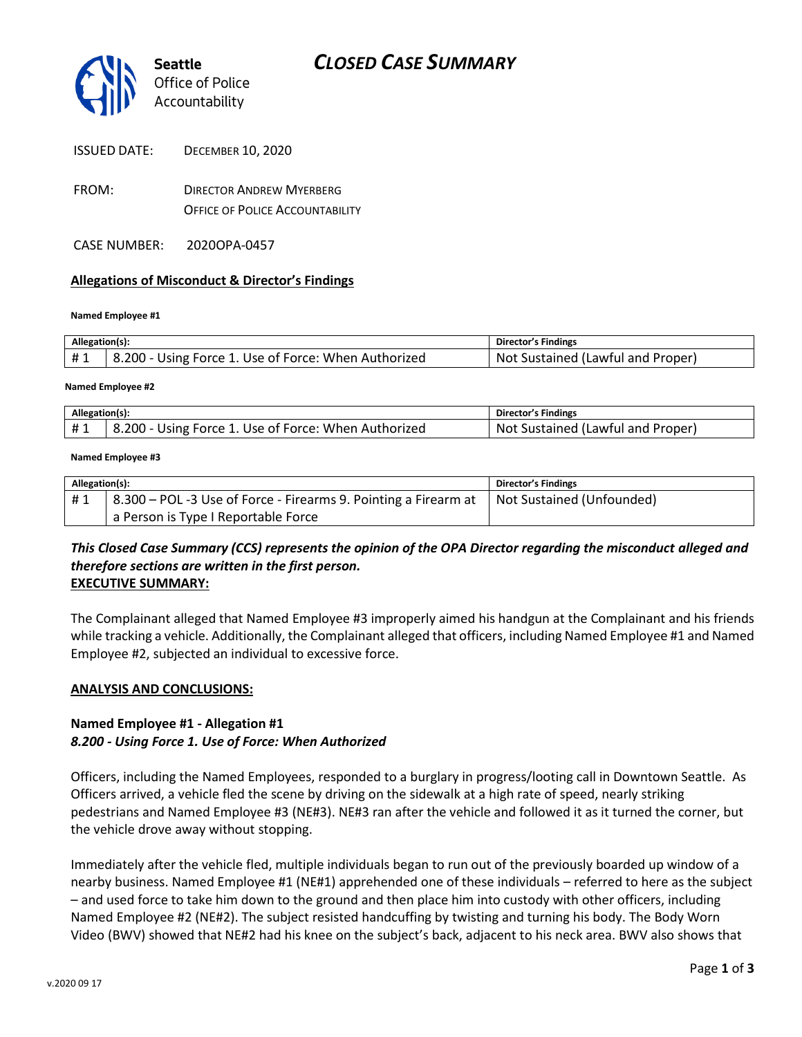

| <b>ISSUED DATE:</b> | <b>DECEMBER 10, 2020</b> |
|---------------------|--------------------------|
|---------------------|--------------------------|

FROM: DIRECTOR ANDREW MYERBERG OFFICE OF POLICE ACCOUNTABILITY

CASE NUMBER: 2020OPA-0457

#### **Allegations of Misconduct & Director's Findings**

#### **Named Employee #1**

| Allegation(s): |                                                      | Director's Findings               |
|----------------|------------------------------------------------------|-----------------------------------|
| #1             | 8.200 - Using Force 1. Use of Force: When Authorized | Not Sustained (Lawful and Proper) |
|                |                                                      |                                   |

#### **Named Employee #2**

| Allegation(s): |                                                             | <b>Director's Findings</b>             |
|----------------|-------------------------------------------------------------|----------------------------------------|
| $+$            | ا - 200<br>. Use of Force: When Authorized<br>Using Force 1 | . Not<br>Sustained (Lawful and Proper) |

#### **Named Employee #3**

| Allegation(s): |                                                                                             | Director's Findings |
|----------------|---------------------------------------------------------------------------------------------|---------------------|
| #1             | 8.300 – POL -3 Use of Force - Firearms 9. Pointing a Firearm at   Not Sustained (Unfounded) |                     |
|                | a Person is Type I Reportable Force                                                         |                     |

## *This Closed Case Summary (CCS) represents the opinion of the OPA Director regarding the misconduct alleged and therefore sections are written in the first person.*  **EXECUTIVE SUMMARY:**

The Complainant alleged that Named Employee #3 improperly aimed his handgun at the Complainant and his friends while tracking a vehicle. Additionally, the Complainant alleged that officers, including Named Employee #1 and Named Employee #2, subjected an individual to excessive force.

#### **ANALYSIS AND CONCLUSIONS:**

## **Named Employee #1 - Allegation #1** *8.200 - Using Force 1. Use of Force: When Authorized*

Officers, including the Named Employees, responded to a burglary in progress/looting call in Downtown Seattle. As Officers arrived, a vehicle fled the scene by driving on the sidewalk at a high rate of speed, nearly striking pedestrians and Named Employee #3 (NE#3). NE#3 ran after the vehicle and followed it as it turned the corner, but the vehicle drove away without stopping.

Immediately after the vehicle fled, multiple individuals began to run out of the previously boarded up window of a nearby business. Named Employee #1 (NE#1) apprehended one of these individuals – referred to here as the subject – and used force to take him down to the ground and then place him into custody with other officers, including Named Employee #2 (NE#2). The subject resisted handcuffing by twisting and turning his body. The Body Worn Video (BWV) showed that NE#2 had his knee on the subject's back, adjacent to his neck area. BWV also shows that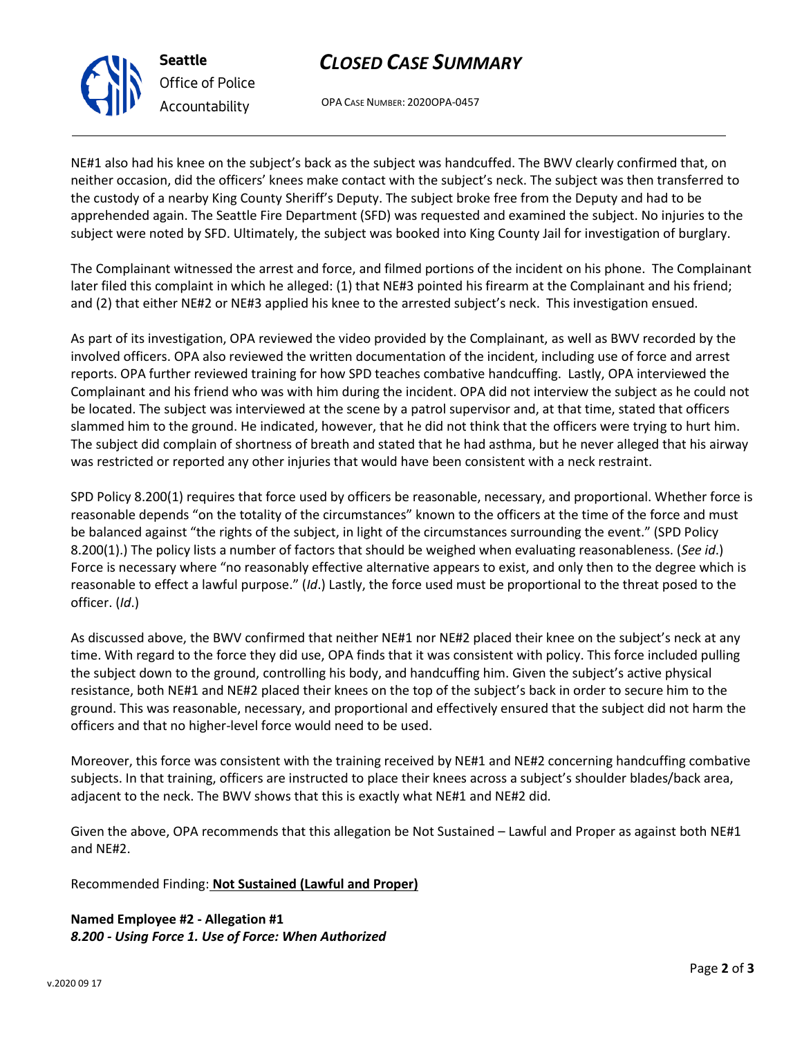# *CLOSED CASE SUMMARY*

OPA CASE NUMBER: 2020OPA-0457

NE#1 also had his knee on the subject's back as the subject was handcuffed. The BWV clearly confirmed that, on neither occasion, did the officers' knees make contact with the subject's neck. The subject was then transferred to the custody of a nearby King County Sheriff's Deputy. The subject broke free from the Deputy and had to be apprehended again. The Seattle Fire Department (SFD) was requested and examined the subject. No injuries to the subject were noted by SFD. Ultimately, the subject was booked into King County Jail for investigation of burglary.

The Complainant witnessed the arrest and force, and filmed portions of the incident on his phone. The Complainant later filed this complaint in which he alleged: (1) that NE#3 pointed his firearm at the Complainant and his friend; and (2) that either NE#2 or NE#3 applied his knee to the arrested subject's neck. This investigation ensued.

As part of its investigation, OPA reviewed the video provided by the Complainant, as well as BWV recorded by the involved officers. OPA also reviewed the written documentation of the incident, including use of force and arrest reports. OPA further reviewed training for how SPD teaches combative handcuffing. Lastly, OPA interviewed the Complainant and his friend who was with him during the incident. OPA did not interview the subject as he could not be located. The subject was interviewed at the scene by a patrol supervisor and, at that time, stated that officers slammed him to the ground. He indicated, however, that he did not think that the officers were trying to hurt him. The subject did complain of shortness of breath and stated that he had asthma, but he never alleged that his airway was restricted or reported any other injuries that would have been consistent with a neck restraint.

SPD Policy 8.200(1) requires that force used by officers be reasonable, necessary, and proportional. Whether force is reasonable depends "on the totality of the circumstances" known to the officers at the time of the force and must be balanced against "the rights of the subject, in light of the circumstances surrounding the event." (SPD Policy 8.200(1).) The policy lists a number of factors that should be weighed when evaluating reasonableness. (*See id*.) Force is necessary where "no reasonably effective alternative appears to exist, and only then to the degree which is reasonable to effect a lawful purpose." (*Id*.) Lastly, the force used must be proportional to the threat posed to the officer. (*Id*.)

As discussed above, the BWV confirmed that neither NE#1 nor NE#2 placed their knee on the subject's neck at any time. With regard to the force they did use, OPA finds that it was consistent with policy. This force included pulling the subject down to the ground, controlling his body, and handcuffing him. Given the subject's active physical resistance, both NE#1 and NE#2 placed their knees on the top of the subject's back in order to secure him to the ground. This was reasonable, necessary, and proportional and effectively ensured that the subject did not harm the officers and that no higher-level force would need to be used.

Moreover, this force was consistent with the training received by NE#1 and NE#2 concerning handcuffing combative subjects. In that training, officers are instructed to place their knees across a subject's shoulder blades/back area, adjacent to the neck. The BWV shows that this is exactly what NE#1 and NE#2 did.

Given the above, OPA recommends that this allegation be Not Sustained – Lawful and Proper as against both NE#1 and NE#2.

Recommended Finding: **Not Sustained (Lawful and Proper)**

**Named Employee #2 - Allegation #1** *8.200 - Using Force 1. Use of Force: When Authorized*



**Seattle** *Office of Police Accountability*